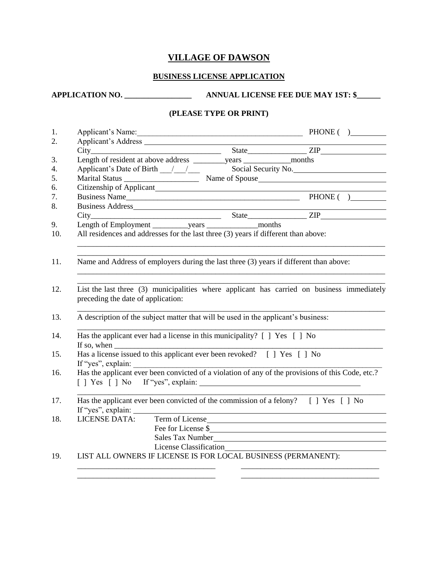## **VILLAGE OF DAWSON**

### **BUSINESS LICENSE APPLICATION**

### **APPLICATION NO. \_\_\_\_\_\_\_\_\_\_\_\_\_\_\_\_\_ ANNUAL LICENSE FEE DUE MAY 1ST: \$\_\_\_\_\_\_**

### **(PLEASE TYPE OR PRINT)**

| Applicant's Name:                                                                                                                | <u> 1989 - Jan James James James James James James James James James James James James James James James James J</u> |  | PHONE( ) |  |
|----------------------------------------------------------------------------------------------------------------------------------|----------------------------------------------------------------------------------------------------------------------|--|----------|--|
|                                                                                                                                  |                                                                                                                      |  |          |  |
|                                                                                                                                  |                                                                                                                      |  |          |  |
|                                                                                                                                  |                                                                                                                      |  |          |  |
| Applicant's Date of Birth 11 1 1 Social Security No.                                                                             |                                                                                                                      |  |          |  |
|                                                                                                                                  |                                                                                                                      |  |          |  |
|                                                                                                                                  |                                                                                                                      |  |          |  |
|                                                                                                                                  |                                                                                                                      |  |          |  |
| Business Address_ https://www.archive.com/2010/01/2010                                                                           |                                                                                                                      |  |          |  |
|                                                                                                                                  |                                                                                                                      |  |          |  |
|                                                                                                                                  |                                                                                                                      |  |          |  |
| Name and Address of employers during the last three (3) years if different than above:                                           |                                                                                                                      |  |          |  |
| List the last three (3) municipalities where applicant has carried on business immediately<br>preceding the date of application: |                                                                                                                      |  |          |  |
| A description of the subject matter that will be used in the applicant's business:                                               |                                                                                                                      |  |          |  |
| Has the applicant ever had a license in this municipality? [ ] Yes [ ] No                                                        |                                                                                                                      |  |          |  |
| If so, when $\frac{1}{\sqrt{1-\frac{1}{2}}\left(\frac{1}{\sqrt{1-\frac{1}{2}}}\right)^{n}}$                                      |                                                                                                                      |  |          |  |
| Has a license issued to this applicant ever been revoked? [ ] Yes [ ] No                                                         |                                                                                                                      |  |          |  |
| Has the applicant ever been convicted of a violation of any of the provisions of this Code, etc.?                                |                                                                                                                      |  |          |  |
|                                                                                                                                  |                                                                                                                      |  |          |  |
| Has the applicant ever been convicted of the commission of a felony? [ ] Yes [ ] No                                              |                                                                                                                      |  |          |  |
|                                                                                                                                  |                                                                                                                      |  |          |  |
| <b>LICENSE DATA:</b>                                                                                                             | Term of License                                                                                                      |  |          |  |
|                                                                                                                                  | Fee for License \$                                                                                                   |  |          |  |
|                                                                                                                                  | Sales Tax Number                                                                                                     |  |          |  |

\_\_\_\_\_\_\_\_\_\_\_\_\_\_\_\_\_\_\_\_\_\_\_\_\_\_\_\_\_\_\_\_\_\_\_ \_\_\_\_\_\_\_\_\_\_\_\_\_\_\_\_\_\_\_\_\_\_\_\_\_\_\_\_\_\_\_\_\_\_\_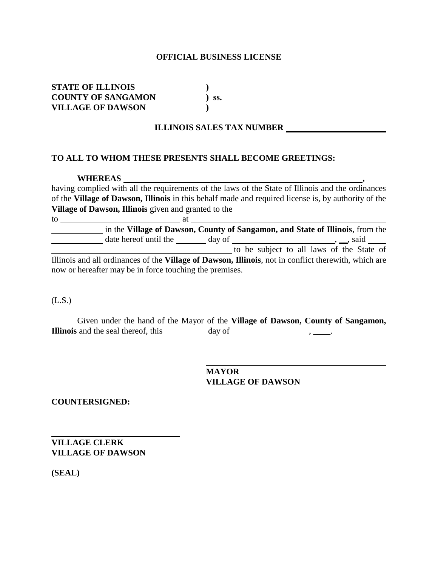#### **OFFICIAL BUSINESS LICENSE**

**STATE OF ILLINOIS ) COUNTY OF SANGAMON ) ss. VILLAGE OF DAWSON )**

### **ILLINOIS SALES TAX NUMBER**

### **TO ALL TO WHOM THESE PRESENTS SHALL BECOME GREETINGS:**

#### **WHEREAS**

having complied with all the requirements of the laws of the State of Illinois and the ordinances of the **Village of Dawson, Illinois** in this behalf made and required license is, by authority of the **Village of Dawson, Illinois** given and granted to the

to at in the **Village of Dawson, County of Sangamon, and State of Illinois**, from the date hereof until the day of  $\frac{1}{\sqrt{1-\frac{1}{n}}}\cos\theta$ ,  $\frac{1}{\sqrt{1-\frac{1}{n}}}\sin\theta$ to be subject to all laws of the State of Illinois and all ordinances of the **Village of Dawson, Illinois**, not in conflict therewith, which are now or hereafter may be in force touching the premises.

(L.S.)

Given under the hand of the Mayor of the **Village of Dawson, County of Sangamon, Illinois** and the seal thereof, this day of , ...

> **MAYOR VILLAGE OF DAWSON**

**COUNTERSIGNED:**

**VILLAGE CLERK VILLAGE OF DAWSON**

**(SEAL)**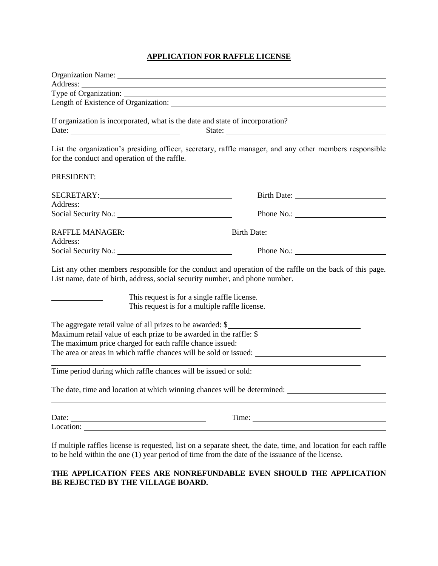### **APPLICATION FOR RAFFLE LICENSE**

| If organization is incorporated, what is the date and state of incorporation?<br>Date: $\frac{1}{2}$                                                                                     | State:                                                                          |
|------------------------------------------------------------------------------------------------------------------------------------------------------------------------------------------|---------------------------------------------------------------------------------|
| List the organization's presiding officer, secretary, raffle manager, and any other members responsible<br>for the conduct and operation of the raffle.                                  |                                                                                 |
| PRESIDENT:                                                                                                                                                                               |                                                                                 |
|                                                                                                                                                                                          |                                                                                 |
|                                                                                                                                                                                          |                                                                                 |
|                                                                                                                                                                                          |                                                                                 |
|                                                                                                                                                                                          |                                                                                 |
|                                                                                                                                                                                          | <u> 1989 - Johann Barnett, fransk politik (d. 1989)</u>                         |
| Social Security No.: Phone No.: Phone No.:                                                                                                                                               |                                                                                 |
| List any other members responsible for the conduct and operation of the raffle on the back of this page.<br>List name, date of birth, address, social security number, and phone number. |                                                                                 |
| This request is for a single raffle license.                                                                                                                                             |                                                                                 |
| This request is for a multiple raffle license.                                                                                                                                           |                                                                                 |
|                                                                                                                                                                                          |                                                                                 |
| The aggregate retail value of all prizes to be awarded: \$                                                                                                                               |                                                                                 |
| Maximum retail value of each prize to be awarded in the raffle: \$                                                                                                                       |                                                                                 |
|                                                                                                                                                                                          |                                                                                 |
| The area or areas in which raffle chances will be sold or issued:                                                                                                                        | the contract of the contract of the contract of the contract of the contract of |
| Time period during which raffle chances will be issued or sold:                                                                                                                          |                                                                                 |
|                                                                                                                                                                                          |                                                                                 |
|                                                                                                                                                                                          |                                                                                 |
|                                                                                                                                                                                          |                                                                                 |
| If multiple raffles license is requested, list on a separate sheet, the date, time, and location for each raffle                                                                         |                                                                                 |

**THE APPLICATION FEES ARE NONREFUNDABLE EVEN SHOULD THE APPLICATION** 

to be held within the one (1) year period of time from the date of the issuance of the license.

### **BE REJECTED BY THE VILLAGE BOARD.**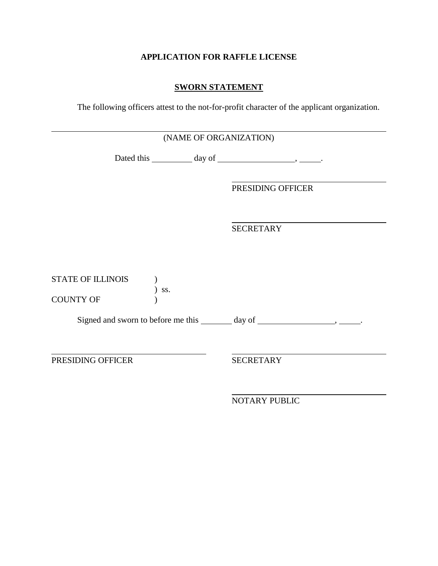# **APPLICATION FOR RAFFLE LICENSE**

## **SWORN STATEMENT**

The following officers attest to the not-for-profit character of the applicant organization.

|                          | (NAME OF ORGANIZATION) |
|--------------------------|------------------------|
|                          |                        |
|                          | PRESIDING OFFICER      |
|                          | <b>SECRETARY</b>       |
| <b>STATE OF ILLINOIS</b> |                        |
| SS.<br><b>COUNTY OF</b>  |                        |
|                          |                        |
| PRESIDING OFFICER        | <b>SECRETARY</b>       |
|                          | <b>NOTARY PUBLIC</b>   |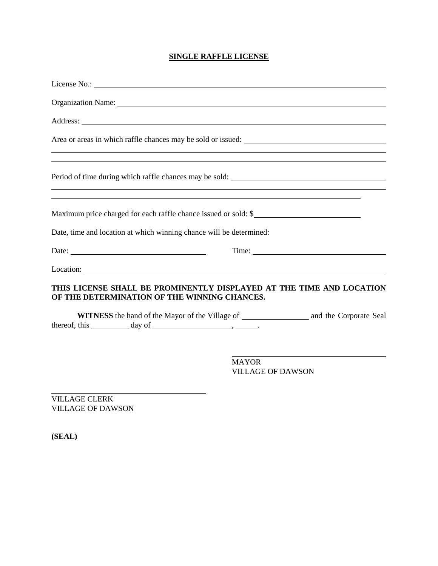## **SINGLE RAFFLE LICENSE**

| Organization Name: 1988 and 2008 and 2008 and 2008 and 2008 and 2008 and 2008 and 2008 and 2008 and 2008 and 20        |                                                                                  |
|------------------------------------------------------------------------------------------------------------------------|----------------------------------------------------------------------------------|
|                                                                                                                        |                                                                                  |
|                                                                                                                        | ,我们也不会有什么。""我们的人,我们也不会有什么?""我们的人,我们也不会有什么?""我们的人,我们也不会有什么?""我们的人,我们也不会有什么?""我们的人 |
| <u> 1989 - Andrea Santa Andrea Andrea Andrea Andrea Andrea Andrea Andrea Andrea Andrea Andrea Andrea Andrea Andr</u>   | ,我们也不会有什么。""我们的人,我们也不会有什么?""我们的人,我们也不会有什么?""我们的人,我们也不会有什么?""我们的人,我们也不会有什么?""我们的人 |
| <u> 1989 - Johann Stoff, deutscher Stoffen und der Stoffen und der Stoffen und der Stoffen und der Stoffen und der</u> |                                                                                  |
| Date, time and location at which winning chance will be determined:                                                    |                                                                                  |
| Date: $\qquad \qquad$                                                                                                  |                                                                                  |
|                                                                                                                        |                                                                                  |
| THIS LICENSE SHALL BE PROMINENTLY DISPLAYED AT THE TIME AND LOCATION<br>OF THE DETERMINATION OF THE WINNING CHANCES.   |                                                                                  |
| thereof, this <b>day of</b>                                                                                            |                                                                                  |
|                                                                                                                        | MAYOR<br><b>VILLAGE OF DAWSON</b>                                                |

VILLAGE CLERK VILLAGE OF DAWSON

**(SEAL)**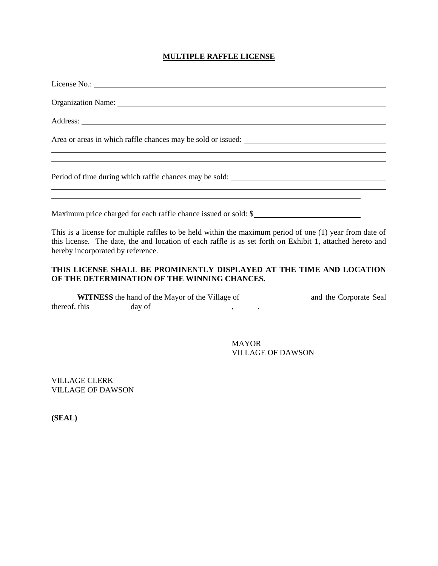## **MULTIPLE RAFFLE LICENSE**

| Organization Name: 1988 and 2008 and 2008 and 2008 and 2008 and 2008 and 2008 and 2008 and 2008 and 2008 and 2008 and 2008 and 2008 and 2008 and 2008 and 2008 and 2008 and 2008 and 2008 and 2008 and 2008 and 2008 and 2008                              |              |                          |
|------------------------------------------------------------------------------------------------------------------------------------------------------------------------------------------------------------------------------------------------------------|--------------|--------------------------|
|                                                                                                                                                                                                                                                            |              |                          |
|                                                                                                                                                                                                                                                            |              |                          |
|                                                                                                                                                                                                                                                            |              |                          |
| ,我们也不会有什么。""我们的人,我们也不会有什么?""我们的人,我们也不会有什么?""我们的人,我们也不会有什么?""我们的人,我们也不会有什么?""我们的人<br>Maximum price charged for each raffle chance issued or sold: \$                                                                                                        |              |                          |
| This is a license for multiple raffles to be held within the maximum period of one (1) year from date of<br>this license. The date, the and location of each raffle is as set forth on Exhibit 1, attached hereto and<br>hereby incorporated by reference. |              |                          |
| THIS LICENSE SHALL BE PROMINENTLY DISPLAYED AT THE TIME AND LOCATION<br>OF THE DETERMINATION OF THE WINNING CHANCES.                                                                                                                                       |              |                          |
|                                                                                                                                                                                                                                                            |              |                          |
|                                                                                                                                                                                                                                                            | <b>MAYOR</b> | <b>VILLAGE OF DAWSON</b> |

VILLAGE CLERK VILLAGE OF DAWSON

**(SEAL)**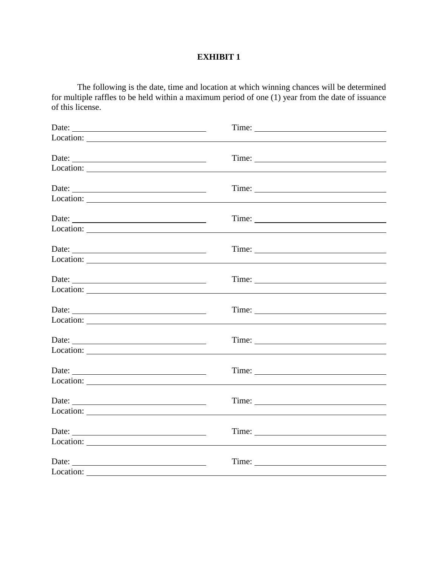# **EXHIBIT 1**

The following is the date, time and location at which winning chances will be determined for multiple raffles to be held within a maximum period of one (1) year from the date of issuance of this license.

| Date:              | Time:                                                                                                                                                                                                                                                                                                                                                                                                         |
|--------------------|---------------------------------------------------------------------------------------------------------------------------------------------------------------------------------------------------------------------------------------------------------------------------------------------------------------------------------------------------------------------------------------------------------------|
| Date:              | Time:                                                                                                                                                                                                                                                                                                                                                                                                         |
|                    | Time:                                                                                                                                                                                                                                                                                                                                                                                                         |
| Date:              | Time:                                                                                                                                                                                                                                                                                                                                                                                                         |
|                    | Time:                                                                                                                                                                                                                                                                                                                                                                                                         |
| Date:              | Time:                                                                                                                                                                                                                                                                                                                                                                                                         |
| Location:          | Time: $\frac{1}{\sqrt{1-\frac{1}{2}}\sqrt{1-\frac{1}{2}}\sqrt{1-\frac{1}{2}}\sqrt{1-\frac{1}{2}}\sqrt{1-\frac{1}{2}}\sqrt{1-\frac{1}{2}}\sqrt{1-\frac{1}{2}}\sqrt{1-\frac{1}{2}}\sqrt{1-\frac{1}{2}}\sqrt{1-\frac{1}{2}}\sqrt{1-\frac{1}{2}}\sqrt{1-\frac{1}{2}}\sqrt{1-\frac{1}{2}}\sqrt{1-\frac{1}{2}}\sqrt{1-\frac{1}{2}}\sqrt{1-\frac{1}{2}}\sqrt{1-\frac{1}{2}}\sqrt{1-\frac{1}{2}}\sqrt{1-\frac{1}{2}}$ |
|                    |                                                                                                                                                                                                                                                                                                                                                                                                               |
| Date:              | Time:                                                                                                                                                                                                                                                                                                                                                                                                         |
|                    |                                                                                                                                                                                                                                                                                                                                                                                                               |
| Date:<br>Location: | Time:                                                                                                                                                                                                                                                                                                                                                                                                         |